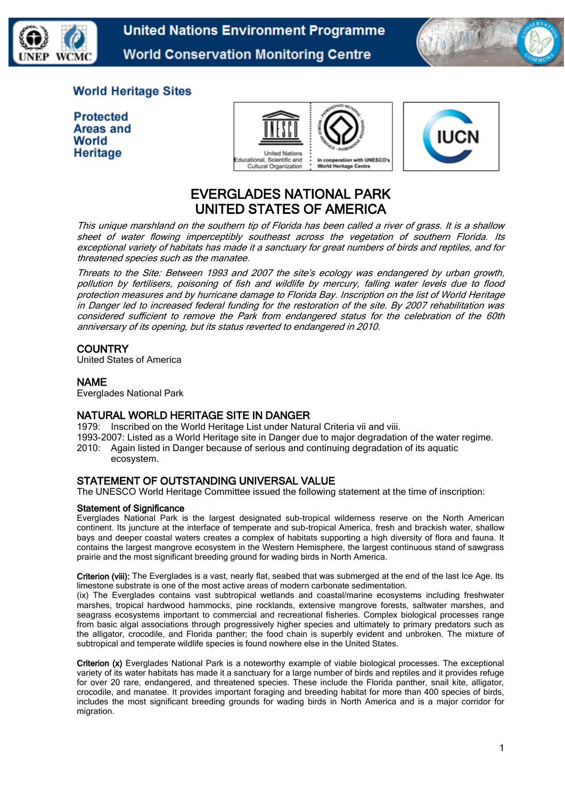

**United Nations Environment Programme World Conservation Monitoring Centre** 



## **World Heritage Sites**

| <b>Protected</b> |
|------------------|
| Areas and        |
| World            |
| Heritage         |





# EVERGLADES NATIONAL PARK UNITED STATES OF AMERICA

This unique marshland on the southern tip of Florida has been called a river of grass. It is a shallow sheet of water flowing imperceptibly southeast across the vegetation of southern Florida. Its exceptional variety of habitats has made it a sanctuary for great numbers of birds and reptiles, and for threatened species such as the manatee.

Threats to the Site: Between 1993 and 2007 the site's ecology was [endangered](http://www.unesco.org/whc/toc/mainf4.htm) by urban growth, pollution by fertilisers, poisoning of fish and wildlife by mercury, falling water levels due to flood protection measures and by hurricane damage to Florida Bay. Inscription on the list of World Heritage in Danger led to increased federal funding for the restoration of the site. By 2007 rehabilitation was considered sufficient to remove the Park from endangered status for the celebration of the 60th anniversary of its opening, but its status reverted to endangered in 2010.

### **COUNTRY**

United States of America

### NAME

Everglades National Park

### NATURAL WORLD HERITAGE SITE IN DANGER

1979: Inscribed on the World Heritage List under Natural Criteria vii and viii.

1993-2007: Listed as a World Heritage site in Danger due to major degradation of the water regime. 2010: Again listed in Danger because of serious and continuing degradation of its aquatic ecosystem.

### STATEMENT OF OUTSTANDING UNIVERSAL VALUE

The UNESCO World Heritage Committee issued the following statement at the time of inscription:

### Statement of Significance

Everglades National Park is the largest designated sub-tropical wilderness reserve on the North American continent. Its juncture at the interface of temperate and sub-tropical America, fresh and brackish water, shallow bays and deeper coastal waters creates a complex of habitats supporting a high diversity of flora and fauna. It contains the largest mangrove ecosystem in the Western Hemisphere, the largest continuous stand of sawgrass prairie and the most significant breeding ground for wading birds in North America.

Criterion (viii): The Everglades is a vast, nearly flat, seabed that was submerged at the end of the last Ice Age. Its limestone substrate is one of the most active areas of modern carbonate sedimentation.

(ix) The Everglades contains vast subtropical wetlands and coastal/marine ecosystems including freshwater marshes, tropical hardwood hammocks, pine rocklands, extensive mangrove forests, saltwater marshes, and seagrass ecosystems important to commercial and recreational fisheries. Complex biological processes range from basic algal associations through progressively higher species and ultimately to primary predators such as the alligator, crocodile, and Florida panther; the food chain is superbly evident and unbroken. The mixture of subtropical and temperate wildlife species is found nowhere else in the United States.

Criterion (x) Everglades National Park is a noteworthy example of viable biological processes. The exceptional variety of its water habitats has made it a sanctuary for a large number of birds and reptiles and it provides refuge for over 20 rare, endangered, and threatened species. These include the Florida panther, snail kite, alligator, crocodile, and manatee. It provides important foraging and breeding habitat for more than 400 species of birds, includes the most significant breeding grounds for wading birds in North America and is a major corridor for migration.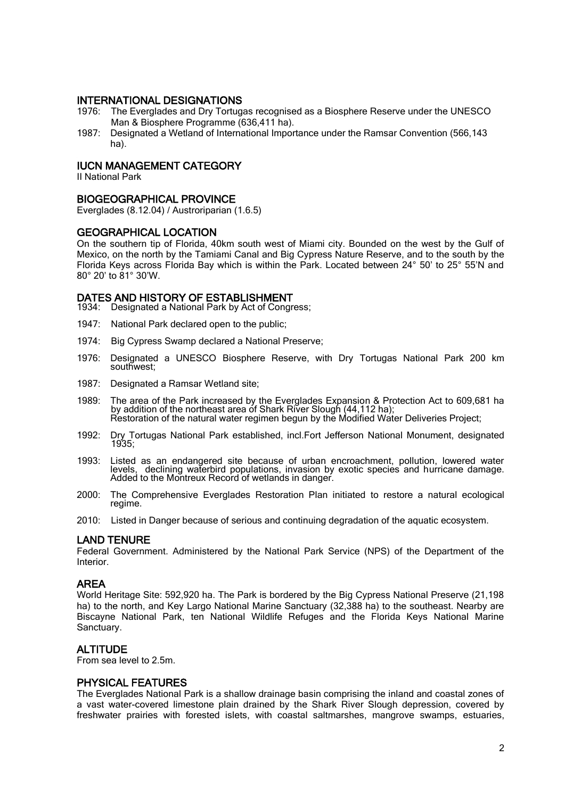### INTERNATIONAL DESIGNATIONS

- 1976: The Everglades and Dry Tortugas recognised as a Biosphere Reserve under the UNESCO Man & Biosphere Programme (636,411 ha).
- 1987: Designated a Wetland of International Importance under the Ramsar Convention (566,143 ha).

### IUCN MANAGEMENT CATEGORY

II National Park

#### BIOGEOGRAPHICAL PROVINCE

Everglades (8.12.04) / Austroriparian (1.6.5)

#### GEOGRAPHICAL LOCATION

On the southern tip of Florida, 40km south west of Miami city. Bounded on the west by the Gulf of Mexico, on the north by the Tamiami Canal and Big Cypress Nature Reserve, and to the south by the Florida Keys across Florida Bay which is within the Park. Located between 24° 50' to 25° 55'N and 80° 20' to 81° 30'W.

### DATES AND HISTORY OF ESTABLISHMENT

1934: Designated a National Park by Act of Congress;

- 1947: National Park declared open to the public;
- 1974: Big Cypress Swamp declared a National Preserve;
- 1976: Designated a UNESCO Biosphere Reserve, with Dry Tortugas National Park 200 km southwest;
- 1987: Designated a Ramsar Wetland site;
- 1989: The area of the Park increased by the Everglades Expansion & Protection Act to 609,681 ha by addition of the northeast area of Shark River Slough (44,112 ha); Restoration of the natural water regimen begun by the Modified Water Deliveries Project;
- 1992: Dry Tortugas National Park established, incl.Fort Jefferson National Monument, designated 1935;
- 1993: Listed as an endangered site because of urban encroachment, pollution, lowered water levels, declining waterbird populations, invasion by exotic species and hurricane damage. Added to the Montreux Record of wetlands in danger.
- 2000: The Comprehensive Everglades Restoration Plan initiated to restore a natural ecological regime.
- 2010: Listed in Danger because of serious and continuing degradation of the aquatic ecosystem.

### LAND TENURE

Federal Government. Administered by the National Park Service (NPS) of the Department of the Interior.

### AREA

World Heritage Site: 592,920 ha. The Park is bordered by the Big Cypress National Preserve (21,198 ha) to the north, and Key Largo National Marine Sanctuary (32,388 ha) to the southeast. Nearby are Biscayne National Park, ten National Wildlife Refuges and the Florida Keys National Marine Sanctuary.

### ALTITUDE

From sea level to 2.5m.

### PHYSICAL FEATURES

The Everglades National Park is a shallow drainage basin comprising the inland and coastal zones of a vast water-covered limestone plain drained by the Shark River Slough depression, covered by freshwater prairies with forested islets, with coastal saltmarshes, mangrove swamps, estuaries,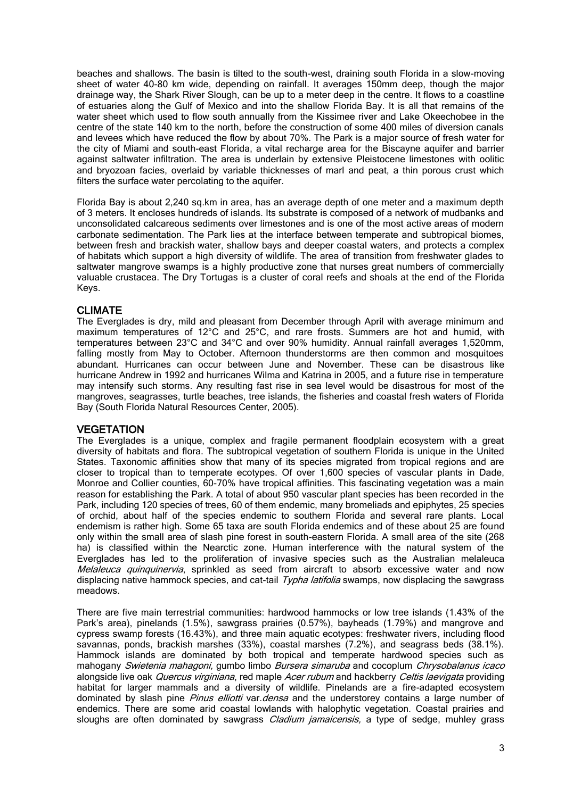beaches and shallows. The basin is tilted to the south-west, draining south Florida in a slow-moving sheet of water 40-80 km wide, depending on rainfall. It averages 150mm deep, though the major drainage way, the Shark River Slough, can be up to a meter deep in the centre. It flows to a coastline of estuaries along the Gulf of Mexico and into the shallow Florida Bay. It is all that remains of the water sheet which used to flow south annually from the Kissimee river and Lake Okeechobee in the centre of the state 140 km to the north, before the construction of some 400 miles of diversion canals and levees which have reduced the flow by about 70%. The Park is a major source of fresh water for the city of Miami and south-east Florida, a vital recharge area for the Biscayne aquifer and barrier against saltwater infiltration. The area is underlain by extensive Pleistocene limestones with oolitic and bryozoan facies, overlaid by variable thicknesses of marl and peat, a thin porous crust which filters the surface water percolating to the aquifer.

Florida Bay is about 2,240 sq.km in area, has an average depth of one meter and a maximum depth of 3 meters. It encloses hundreds of islands. Its substrate is composed of a network of mudbanks and unconsolidated calcareous sediments over limestones and is one of the most active areas of modern carbonate sedimentation. The Park lies at the interface between temperate and subtropical biomes, between fresh and brackish water, shallow bays and deeper coastal waters, and protects a complex of habitats which support a high diversity of wildlife. The area of transition from freshwater glades to saltwater mangrove swamps is a highly productive zone that nurses great numbers of commercially valuable crustacea. The Dry Tortugas is a cluster of coral reefs and shoals at the end of the Florida Keys.

### CLIMATE

The Everglades is dry, mild and pleasant from December through April with average minimum and maximum temperatures of 12°C and 25°C, and rare frosts. Summers are hot and humid, with temperatures between 23°C and 34°C and over 90% humidity. Annual rainfall averages 1,520mm, falling mostly from May to October. Afternoon thunderstorms are then common and mosquitoes abundant. Hurricanes can occur between June and November. These can be disastrous like hurricane Andrew in 1992 and hurricanes Wilma and Katrina in 2005, and a future rise in temperature may intensify such storms. Any resulting fast rise in sea level would be disastrous for most of the mangroves, seagrasses, turtle beaches, tree islands, the fisheries and coastal fresh waters of Florida Bay (South Florida Natural Resources Center, 2005).

### **VEGETATION**

The Everglades is a unique, complex and fragile permanent floodplain ecosystem with a great diversity of habitats and flora. The subtropical vegetation of southern Florida is unique in the United States. Taxonomic affinities show that many of its species migrated from tropical regions and are closer to tropical than to temperate ecotypes. Of over 1,600 species of vascular plants in Dade, Monroe and Collier counties, 60-70% have tropical affinities. This fascinating vegetation was a main reason for establishing the Park. A total of about 950 vascular plant species has been recorded in the Park, including 120 species of trees, 60 of them endemic, many bromeliads and epiphytes, 25 species of orchid, about half of the species endemic to southern Florida and several rare plants. Local endemism is rather high. Some 65 taxa are south Florida endemics and of these about 25 are found only within the small area of slash pine forest in south-eastern Florida. A small area of the site (268 ha) is classified within the Nearctic zone. Human interference with the natural system of the Everglades has led to the proliferation of invasive species such as the Australian melaleuca Melaleuca quinquinervia, sprinkled as seed from aircraft to absorb excessive water and now displacing native hammock species, and cat-tail *Typha latifolia* swamps, now displacing the sawgrass meadows.

There are five main terrestrial communities: hardwood hammocks or low tree islands (1.43% of the Park's area), pinelands (1.5%), sawgrass prairies (0.57%), bayheads (1.79%) and mangrove and cypress swamp forests (16.43%), and three main aquatic ecotypes: freshwater rivers, including flood savannas, ponds, brackish marshes (33%), coastal marshes (7.2%), and seagrass beds (38.1%). Hammock islands are dominated by both tropical and temperate hardwood species such as mahogany Swietenia mahagoni, gumbo limbo Bursera simaruba and cocoplum Chrysobalanus icaco alongside live oak Quercus virginiana, red maple Acer rubum and hackberry Celtis laevigata providing habitat for larger mammals and a diversity of wildlife. Pinelands are a fire-adapted ecosystem dominated by slash pine Pinus elliotti var. densa and the understorey contains a large number of endemics. There are some arid coastal lowlands with halophytic vegetation. Coastal prairies and sloughs are often dominated by sawgrass *Cladium jamaicensis*, a type of sedge, muhley grass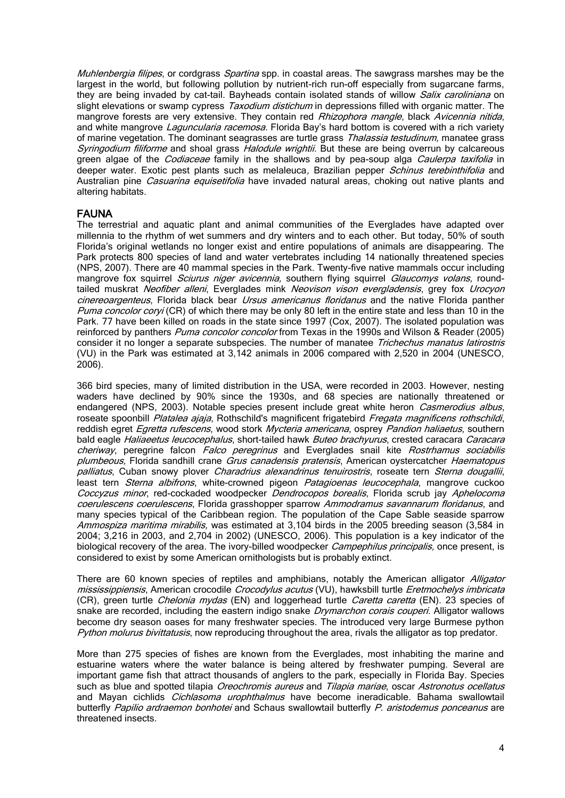Muhlenbergia filipes, or cordgrass Spartina spp. in coastal areas. The sawgrass marshes may be the largest in the world, but following pollution by nutrient-rich run-off especially from sugarcane farms, they are being invaded by cat-tail. Bayheads contain isolated stands of willow *Salix caroliniana* on slight elevations or swamp cypress *Taxodium distichum* in depressions filled with organic matter. The mangrove forests are very extensive. They contain red Rhizophora mangle, black Avicennia nitida, and white mangrove *Laguncularia racemosa*. Florida Bay's hard bottom is covered with a rich variety of marine vegetation. The dominant seagrasses are turtle grass Thalassia testudinum, manatee grass Syringodium filiforme and shoal grass *Halodule wrightii*. But these are being overrun by calcareous green algae of the *Codiaceae* family in the shallows and by pea-soup alga *Caulerpa taxifolia* in deeper water. Exotic pest plants such as melaleuca, Brazilian pepper Schinus terebinthifolia and Australian pine *Casuarina equisetifolia* have invaded natural areas, choking out native plants and altering habitats.

### FAUNA

The terrestrial and aquatic plant and animal communities of the Everglades have adapted over millennia to the rhythm of wet summers and dry winters and to each other. But today, 50% of south Florida's original wetlands no longer exist and entire populations of animals are disappearing. The Park protects 800 species of land and water vertebrates including 14 nationally threatened species (NPS, 2007). There are 40 mammal species in the Park. Twenty-five native mammals occur including mangrove fox squirrel *Sciurus niger avicennia*, southern flying squirrel *Glaucomys volans*, roundtailed muskrat Neofiber alleni, Everglades mink Neovison vison evergladensis, grey fox Urocyon cinereoargenteus, Florida black bear *Ursus americanus floridanus* and the native Florida panther Puma concolor coryi (CR) of which there may be only 80 left in the entire state and less than 10 in the Park. 77 have been killed on roads in the state since 1997 (Cox, 2007). The isolated population was reinforced by panthers *Puma concolor concolor* from Texas in the 1990s and Wilson & Reader (2005) consider it no longer a separate subspecies. The number of manatee Trichechus manatus latirostris (VU) in the Park was estimated at 3,142 animals in 2006 compared with 2,520 in 2004 (UNESCO, 2006).

366 bird species, many of limited distribution in the USA, were recorded in 2003. However, nesting waders have declined by 90% since the 1930s, and 68 species are nationally threatened or endangered (NPS, 2003). Notable species present include great white heron Casmerodius albus, roseate spoonbill Platalea ajaja, Rothschild's magnificent frigatebird Fregata magnificens rothschildi, reddish egret Egretta rufescens, wood stork Mycteria americana, osprey Pandion haliaetus, southern bald eagle Haliaeetus leucocephalus, short-tailed hawk Buteo brachyurus, crested caracara Caracara cheriway, peregrine falcon Falco peregrinus and Everglades snail kite Rostrhamus sociabilis plumbeous. Florida sandhill crane Grus canadensis pratensis, American oystercatcher Haematopus palliatus, Cuban snowy plover Charadrius alexandrinus tenuirostris, roseate tern Sterna dougallii, least tern *Sterna albifrons*, white-crowned pigeon *Patagioenas leucocephala*, mangrove cuckoo Coccyzus minor, red-cockaded woodpecker Dendrocopos borealis, Florida scrub jay Aphelocoma coerulescens coerulescens, Florida grasshopper sparrow Ammodramus savannarum floridanus, and many species typical of the Caribbean region. The population of the Cape Sable seaside sparrow Ammospiza maritima mirabilis, was estimated at 3,104 birds in the 2005 breeding season (3,584 in 2004; 3,216 in 2003, and 2,704 in 2002) (UNESCO, 2006). This population is a key indicator of the biological recovery of the area. The ivory-billed woodpecker *Campephilus principalis*, once present, is considered to exist by some American ornithologists but is probably extinct.

There are 60 known species of reptiles and amphibians, notably the American alligator Alligator mississippiensis, American crocodile Crocodylus acutus (VU), hawksbill turtle Eretmochelys imbricata (CR), green turtle *Chelonia mydas* (EN) and loggerhead turtle *Caretta caretta* (EN). 23 species of snake are recorded, including the eastern indigo snake *Drymarchon corais couperi*. Alligator wallows become dry season oases for many freshwater species. The introduced very large Burmese python Python molurus bivittatusis, now reproducing throughout the area, rivals the alligator as top predator.

More than 275 species of fishes are known from the Everglades, most inhabiting the marine and estuarine waters where the water balance is being altered by freshwater pumping. Several are important game fish that attract thousands of anglers to the park, especially in Florida Bay. Species such as blue and spotted tilapia *Oreochromis aureus* and Tilapia mariae, oscar Astronotus ocellatus and Mayan cichlids *Cichlasoma urophthalmus* have become ineradicable. Bahama swallowtail butterfly Papilio ardraemon bonhotei and Schaus swallowtail butterfly P. aristodemus ponceanus are threatened insects.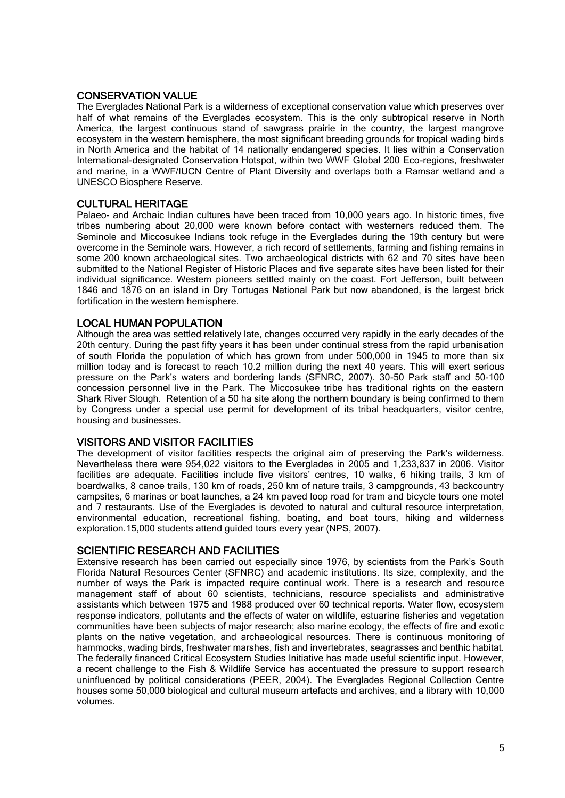### CONSERVATION VALUE

The Everglades National Park is a wilderness of exceptional conservation value which preserves over half of what remains of the Everglades ecosystem. This is the only subtropical reserve in North America, the largest continuous stand of sawgrass prairie in the country, the largest mangrove ecosystem in the western hemisphere, the most significant breeding grounds for tropical wading birds in North America and the habitat of 14 nationally endangered species. It lies within a Conservation International-designated Conservation Hotspot, within two WWF Global 200 Eco-regions, freshwater and marine, in a WWF/IUCN Centre of Plant Diversity and overlaps both a Ramsar wetland and a UNESCO Biosphere Reserve.

### CULTURAL HERITAGE

Palaeo- and Archaic Indian cultures have been traced from 10,000 years ago. In historic times, five tribes numbering about 20,000 were known before contact with westerners reduced them. The Seminole and Miccosukee Indians took refuge in the Everglades during the 19th century but were overcome in the Seminole wars. However, a rich record of settlements, farming and fishing remains in some 200 known archaeological sites. Two archaeological districts with 62 and 70 sites have been submitted to the National Register of Historic Places and five separate sites have been listed for their individual significance. Western pioneers settled mainly on the coast. Fort Jefferson, built between 1846 and 1876 on an island in Dry Tortugas National Park but now abandoned, is the largest brick fortification in the western hemisphere.

### LOCAL HUMAN POPULATION

Although the area was settled relatively late, changes occurred very rapidly in the early decades of the 20th century. During the past fifty years it has been under continual stress from the rapid urbanisation of south Florida the population of which has grown from under 500,000 in 1945 to more than six million today and is forecast to reach 10.2 million during the next 40 years. This will exert serious pressure on the Park's waters and bordering lands (SFNRC, 2007). 30-50 Park staff and 50-100 concession personnel live in the Park. The Miccosukee tribe has traditional rights on the eastern Shark River Slough. Retention of a 50 ha site along the northern boundary is being confirmed to them by Congress under a special use permit for development of its tribal headquarters, visitor centre, housing and businesses.

### VISITORS AND VISITOR FACILITIES

The development of visitor facilities respects the original aim of preserving the Park's wilderness. Nevertheless there were 954,022 visitors to the Everglades in 2005 and 1,233,837 in 2006. Visitor facilities are adequate. Facilities include five visitors' centres, 10 walks, 6 hiking trails, 3 km of boardwalks, 8 canoe trails, 130 km of roads, 250 km of nature trails, 3 campgrounds, 43 backcountry campsites, 6 marinas or boat launches, a 24 km paved loop road for tram and bicycle tours one motel and 7 restaurants. Use of the Everglades is devoted to natural and cultural resource interpretation, environmental education, recreational fishing, boating, and boat tours, hiking and wilderness exploration.15,000 students attend guided tours every year (NPS, 2007).

### SCIENTIFIC RESEARCH AND FACILITIES

Extensive research has been carried out especially since 1976, by scientists from the Park's South Florida Natural Resources Center (SFNRC) and academic institutions. Its size, complexity, and the number of ways the Park is impacted require continual work. There is a research and resource management staff of about 60 scientists, technicians, resource specialists and administrative assistants which between 1975 and 1988 produced over 60 technical reports. Water flow, ecosystem response indicators, pollutants and the effects of water on wildlife, estuarine fisheries and vegetation communities have been subjects of major research; also marine ecology, the effects of fire and exotic plants on the native vegetation, and archaeological resources. There is continuous monitoring of hammocks, wading birds, freshwater marshes, fish and invertebrates, seagrasses and benthic habitat. The federally financed Critical Ecosystem Studies Initiative has made useful scientific input. However, a recent challenge to the Fish & Wildlife Service has accentuated the pressure to support research uninfluenced by political considerations (PEER, 2004). The Everglades Regional Collection Centre houses some 50,000 biological and cultural museum artefacts and archives, and a library with 10,000 volumes.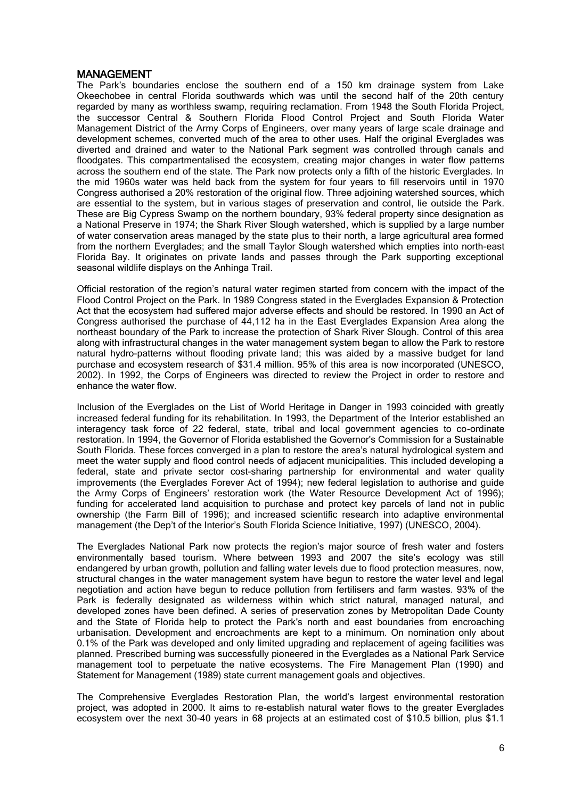### MANAGEMENT

The Park's boundaries enclose the southern end of a 150 km drainage system from Lake Okeechobee in central Florida southwards which was until the second half of the 20th century regarded by many as worthless swamp, requiring reclamation. From 1948 the South Florida Project, the successor Central & Southern Florida Flood Control Project and South Florida Water Management District of the Army Corps of Engineers, over many years of large scale drainage and development schemes, converted much of the area to other uses. Half the original Everglades was diverted and drained and water to the National Park segment was controlled through canals and floodgates. This compartmentalised the ecosystem, creating major changes in water flow patterns across the southern end of the state. The Park now protects only a fifth of the historic Everglades. In the mid 1960s water was held back from the system for four years to fill reservoirs until in 1970 Congress authorised a 20% restoration of the original flow. Three adjoining watershed sources, which are essential to the system, but in various stages of preservation and control, lie outside the Park. These are Big Cypress Swamp on the northern boundary, 93% federal property since designation as a National Preserve in 1974; the Shark River Slough watershed, which is supplied by a large number of water conservation areas managed by the state plus to their north, a large agricultural area formed from the northern Everglades; and the small Taylor Slough watershed which empties into north-east Florida Bay. It originates on private lands and passes through the Park supporting exceptional seasonal wildlife displays on the Anhinga Trail.

Official restoration of the region's natural water regimen started from concern with the impact of the Flood Control Project on the Park. In 1989 Congress stated in the Everglades Expansion & Protection Act that the ecosystem had suffered major adverse effects and should be restored. In 1990 an Act of Congress authorised the purchase of 44,112 ha in the East Everglades Expansion Area along the northeast boundary of the Park to increase the protection of Shark River Slough. Control of this area along with infrastructural changes in the water management system began to allow the Park to restore natural hydro-patterns without flooding private land; this was aided by a massive budget for land purchase and ecosystem research of \$31.4 million. 95% of this area is now incorporated (UNESCO, 2002). In 1992, the Corps of Engineers was directed to review the Project in order to restore and enhance the water flow.

Inclusion of the Everglades on the List of World Heritage in Danger in 1993 coincided with greatly increased federal funding for its rehabilitation. In 1993, the Department of the Interior established an interagency task force of 22 federal, state, tribal and local government agencies to co-ordinate restoration. In 1994, the Governor of Florida established the Governor's Commission for a Sustainable South Florida. These forces converged in a plan to restore the area's natural hydrological system and meet the water supply and flood control needs of adjacent municipalities. This included developing a federal, state and private sector cost-sharing partnership for environmental and water quality improvements (the Everglades Forever Act of 1994); new federal legislation to authorise and guide the Army Corps of Engineers' restoration work (the Water Resource Development Act of 1996); funding for accelerated land acquisition to purchase and protect key parcels of land not in public ownership (the Farm Bill of 1996); and increased scientific research into adaptive environmental management (the Dep't of the Interior's South Florida Science Initiative, 1997) (UNESCO, 2004).

The Everglades National Park now protects the region's major source of fresh water and fosters environmentally based tourism. Where between 1993 and 2007 the site's ecology was still [endangered](http://www.unesco.org/whc/toc/mainf4.htm) by urban growth, pollution and falling water levels due to flood protection measures, now, structural changes in the water management system have begun to restore the water level and legal negotiation and action have begun to reduce pollution from fertilisers and farm wastes. 93% of the Park is federally designated as wilderness within which strict natural, managed natural, and developed zones have been defined. A series of preservation zones by Metropolitan Dade County and the State of Florida help to protect the Park's north and east boundaries from encroaching urbanisation. Development and encroachments are kept to a minimum. On nomination only about 0.1% of the Park was developed and only limited upgrading and replacement of ageing facilities was planned. Prescribed burning was successfully pioneered in the Everglades as a National Park Service management tool to perpetuate the native ecosystems. The Fire Management Plan (1990) and Statement for Management (1989) state current management goals and objectives.

The Comprehensive Everglades Restoration Plan, the world's largest environmental restoration project, was adopted in 2000. It aims to re-establish natural water flows to the greater Everglades ecosystem over the next 30-40 years in 68 projects at an estimated cost of \$10.5 billion, plus \$1.1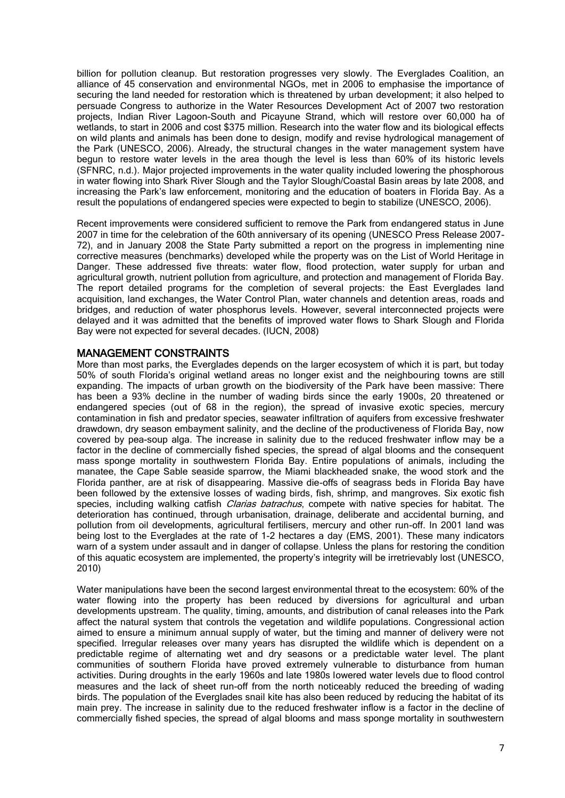billion for pollution cleanup. But restoration progresses very slowly. The Everglades Coalition, an alliance of 45 conservation and environmental NGOs, met in 2006 to emphasise the importance of securing the land needed for restoration which is threatened by urban development; it also helped to persuade Congress to authorize in the Water Resources Development Act of 2007 two restoration projects, Indian River Lagoon-South and Picayune Strand, which will restore over 60,000 ha of wetlands, to start in 2006 and cost \$375 million. Research into the water flow and its biological effects on wild plants and animals has been done to design, modify and revise hydrological management of the Park (UNESCO, 2006). Already, the structural changes in the water management system have begun to restore water levels in the area though the level is less than 60% of its historic levels (SFNRC, n.d.). Major projected improvements in the water quality included lowering the phosphorous in water flowing into Shark River Slough and the Taylor Slough/Coastal Basin areas by late 2008, and increasing the Park's law enforcement, monitoring and the education of boaters in Florida Bay. As a result the populations of endangered species were expected to begin to stabilize (UNESCO, 2006).

Recent improvements were considered sufficient to remove the Park from endangered status in June 2007 in time for the celebration of the 60th anniversary of its opening (UNESCO Press Release 2007- 72), and in January 2008 the State Party submitted a report on the progress in implementing nine corrective measures (benchmarks) developed while the property was on the List of World Heritage in Danger. These addressed five threats: water flow, flood protection, water supply for urban and agricultural growth, nutrient pollution from agriculture, and protection and management of Florida Bay. The report detailed programs for the completion of several projects: the East Everglades land acquisition, land exchanges, the Water Control Plan, water channels and detention areas, roads and bridges, and reduction of water phosphorus levels. However, several interconnected projects were delayed and it was admitted that the benefits of improved water flows to Shark Slough and Florida Bay were not expected for several decades. (IUCN, 2008)

### MANAGEMENT CONSTRAINTS

More than most parks, the Everglades depends on the larger ecosystem of which it is part, but today 50% of south Florida's original wetland areas no longer exist and the neighbouring towns are still expanding. The impacts of urban growth on the biodiversity of the Park have been massive: There has been a 93% decline in the number of wading birds since the early 1900s, 20 threatened or endangered species (out of 68 in the region), the spread of invasive exotic species, mercury contamination in fish and predator species, seawater infiltration of aquifers from excessive freshwater drawdown, dry season embayment salinity, and the decline of the productiveness of Florida Bay, now covered by pea-soup alga. The increase in salinity due to the reduced freshwater inflow may be a factor in the decline of commercially fished species, the spread of algal blooms and the consequent mass sponge mortality in southwestern Florida Bay. Entire populations of animals, including the manatee, the Cape Sable seaside sparrow, the Miami blackheaded snake, the wood stork and the Florida panther, are at risk of disappearing. Massive die-offs of seagrass beds in Florida Bay have been followed by the extensive losses of wading birds, fish, shrimp, and mangroves. Six exotic fish species, including walking catfish *Clarias batrachus*, compete with native species for habitat. The deterioration has continued, through urbanisation, drainage, deliberate and accidental burning, and pollution from oil developments, agricultural fertilisers, mercury and other run-off. In 2001 land was being lost to the Everglades at the rate of 1-2 hectares a day (EMS, 2001). These many indicators warn of a system under assault and in danger of collapse. Unless the plans for restoring the condition of this aquatic ecosystem are implemented, the property's integrity will be irretrievably lost (UNESCO, 2010)

Water manipulations have been the second largest environmental threat to the ecosystem: 60% of the water flowing into the property has been reduced by diversions for agricultural and urban developments upstream. The quality, timing, amounts, and distribution of canal releases into the Park affect the natural system that controls the vegetation and wildlife populations. Congressional action aimed to ensure a minimum annual supply of water, but the timing and manner of delivery were not specified. Irregular releases over many years has disrupted the wildlife which is dependent on a predictable regime of alternating wet and dry seasons or a predictable water level. The plant communities of southern Florida have proved extremely vulnerable to disturbance from human activities. During droughts in the early 1960s and late 1980s lowered water levels due to flood control measures and the lack of sheet run-off from the north noticeably reduced the breeding of wading birds. The population of the Everglades snail kite has also been reduced by reducing the habitat of its main prey. The increase in salinity due to the reduced freshwater inflow is a factor in the decline of commercially fished species, the spread of algal blooms and mass sponge mortality in southwestern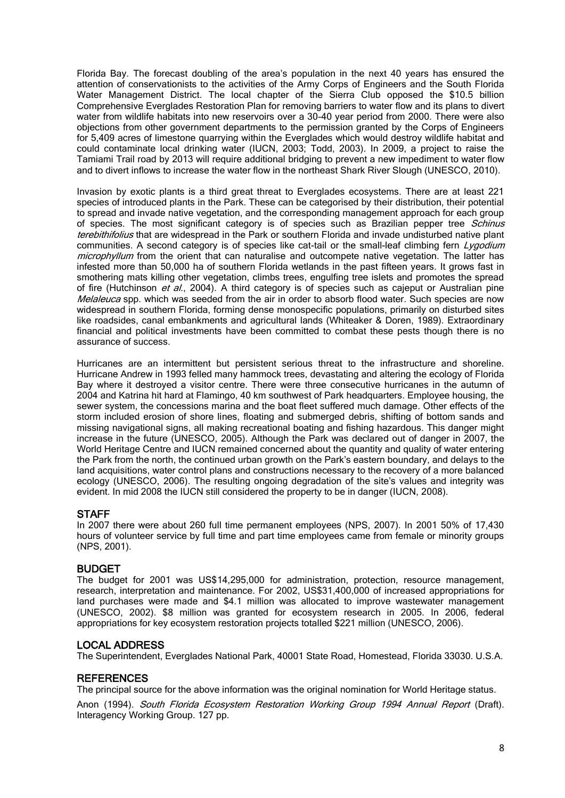Florida Bay. The forecast doubling of the area's population in the next 40 years has ensured the attention of conservationists to the activities of the Army Corps of Engineers and the South Florida Water Management District. The local chapter of the Sierra Club opposed the \$10.5 billion Comprehensive Everglades Restoration Plan for removing barriers to water flow and its plans to divert water from wildlife habitats into new reservoirs over a 30-40 year period from 2000. There were also objections from other government departments to the permission granted by the Corps of Engineers for 5,409 acres of limestone quarrying within the Everglades which would destroy wildlife habitat and could contaminate local drinking water (IUCN, 2003; Todd, 2003). In 2009, a project to raise the Tamiami Trail road by 2013 will require additional bridging to prevent a new impediment to water flow and to divert inflows to increase the water flow in the northeast Shark River Slough (UNESCO, 2010).

Invasion by exotic plants is a third great threat to Everglades ecosystems. There are at least 221 species of introduced plants in the Park. These can be categorised by their distribution, their potential to spread and invade native vegetation, and the corresponding management approach for each group of species. The most significant category is of species such as Brazilian pepper tree *Schinus* terebithifolius that are widespread in the Park or southern Florida and invade undisturbed native plant communities. A second category is of species like cat-tail or the small-leaf climbing fern Lygodium microphyllum from the orient that can naturalise and outcompete native vegetation. The latter has infested more than 50,000 ha of southern Florida wetlands in the past fifteen years. It grows fast in smothering mats killing other vegetation, climbs trees, engulfing tree islets and promotes the spread of fire (Hutchinson et al., 2004). A third category is of species such as cajeput or Australian pine Melaleuca spp. which was seeded from the air in order to absorb flood water. Such species are now widespread in southern Florida, forming dense monospecific populations, primarily on disturbed sites like roadsides, canal embankments and agricultural lands (Whiteaker & Doren, 1989). Extraordinary financial and political investments have been committed to combat these pests though there is no assurance of success.

Hurricanes are an intermittent but persistent serious threat to the infrastructure and shoreline. Hurricane Andrew in 1993 felled many hammock trees, devastating and altering the ecology of Florida Bay where it destroyed a visitor centre. There were three consecutive hurricanes in the autumn of 2004 and Katrina hit hard at Flamingo, 40 km southwest of Park headquarters. Employee housing, the sewer system, the concessions marina and the boat fleet suffered much damage. Other effects of the storm included erosion of shore lines, floating and submerged debris, shifting of bottom sands and missing navigational signs, all making recreational boating and fishing hazardous. This danger might increase in the future (UNESCO, 2005). Although the Park was declared out of danger in 2007, the World Heritage Centre and IUCN remained concerned about the quantity and quality of water entering the Park from the north, the continued urban growth on the Park's eastern boundary, and delays to the land acquisitions, water control plans and constructions necessary to the recovery of a more balanced ecology (UNESCO, 2006). The resulting ongoing degradation of the site's values and integrity was evident. In mid 2008 the IUCN still considered the property to be in danger (IUCN, 2008).

### **STAFF**

In 2007 there were about 260 full time permanent employees (NPS, 2007). In 2001 50% of 17,430 hours of volunteer service by full time and part time employees came from female or minority groups (NPS, 2001).

### BUDGET

The budget for 2001 was US\$14,295,000 for administration, protection, resource management, research, interpretation and maintenance. For 2002, US\$31,400,000 of increased appropriations for land purchases were made and \$4.1 million was allocated to improve wastewater management (UNESCO, 2002). \$8 million was granted for ecosystem research in 2005. In 2006, federal appropriations for key ecosystem restoration projects totalled \$221 million (UNESCO, 2006).

### LOCAL ADDRESS

The Superintendent, Everglades National Park, 40001 State Road, Homestead, Florida 33030. U.S.A.

### **REFERENCES**

The principal source for the above information was the original nomination for World Heritage status.

Anon (1994). South Florida Ecosystem Restoration Working Group 1994 Annual Report (Draft). Interagency Working Group. 127 pp.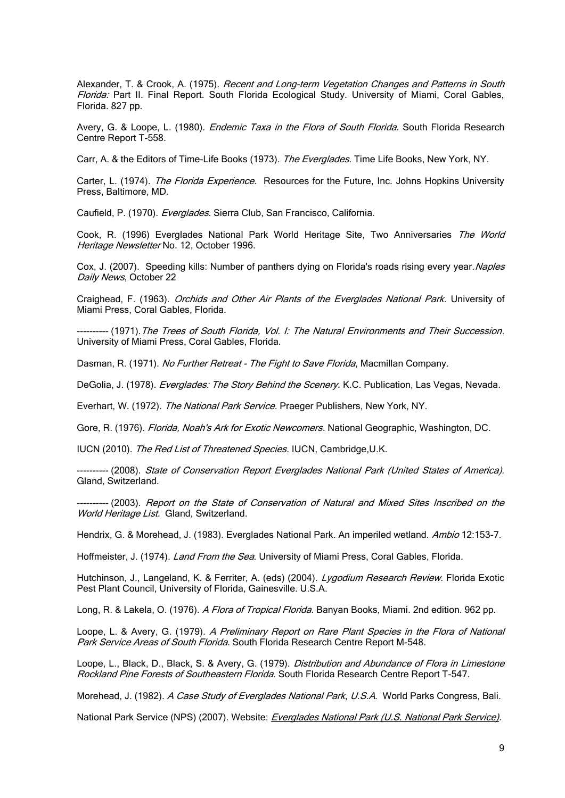Alexander, T. & Crook, A. (1975). Recent and Long-term Vegetation Changes and Patterns in South Florida: Part II. Final Report. South Florida Ecological Study. University of Miami, Coral Gables, Florida. 827 pp.

Avery, G. & Loope, L. (1980). *Endemic Taxa in the Flora of South Florida*. South Florida Research Centre Report T-558.

Carr, A. & the Editors of Time-Life Books (1973). The Everglades. Time Life Books, New York, NY.

Carter, L. (1974). The Florida Experience. Resources for the Future, Inc. Johns Hopkins University Press, Baltimore, MD.

Caufield, P. (1970). Everglades. Sierra Club, San Francisco, California.

Cook, R. (1996) Everglades National Park World Heritage Site, Two Anniversaries The World Heritage Newsletter No. 12, October 1996.

Cox, J. (2007). Speeding kills: Number of panthers dying on Florida's roads rising every year. Naples Daily News, October 22

Craighead, F. (1963). Orchids and Other Air Plants of the Everglades National Park. University of Miami Press, Coral Gables, Florida.

---------- (1971).The Trees of South Florida, Vol. I: The Natural Environments and Their Succession. University of Miami Press, Coral Gables, Florida.

Dasman, R. (1971). No Further Retreat - The Fight to Save Florida, Macmillan Company.

DeGolia, J. (1978). Everglades: The Story Behind the Scenery. K.C. Publication, Las Vegas, Nevada.

Everhart, W. (1972). The National Park Service. Praeger Publishers, New York, NY.

Gore, R. (1976). Florida, Noah's Ark for Exotic Newcomers. National Geographic, Washington, DC.

IUCN (2010). The Red List of Threatened Species. IUCN, Cambridge, U.K.

---------- (2008). State of Conservation Report Everglades National Park (United States of America). Gland, Switzerland.

---------- (2003). Report on the State of Conservation of Natural and Mixed Sites Inscribed on the World Heritage List. Gland, Switzerland.

Hendrix, G. & Morehead, J. (1983). Everglades National Park. An imperiled wetland. Ambio 12:153-7.

Hoffmeister, J. (1974). Land From the Sea. University of Miami Press, Coral Gables, Florida.

Hutchinson, J., Langeland, K. & Ferriter, A. (eds) (2004). Lygodium Research Review. Florida Exotic Pest Plant Council, University of Florida, Gainesville. U.S.A.

Long, R. & Lakela, O. (1976). A Flora of Tropical Florida. Banyan Books, Miami. 2nd edition. 962 pp.

Loope, L. & Avery, G. (1979). A Preliminary Report on Rare Plant Species in the Flora of National Park Service Areas of South Florida. South Florida Research Centre Report M-548.

Loope, L., Black, D., Black, S. & Avery, G. (1979). Distribution and Abundance of Flora in Limestone Rockland Pine Forests of Southeastern Florida. South Florida Research Centre Report T-547.

Morehead, J. (1982). A Case Study of Everglades National Park, U.S.A. World Parks Congress, Bali.

National Park Service (NPS) (2007). Website: [Everglades National Park \(U.S. National Park Service\).](http://www.nps.gov/ever/)